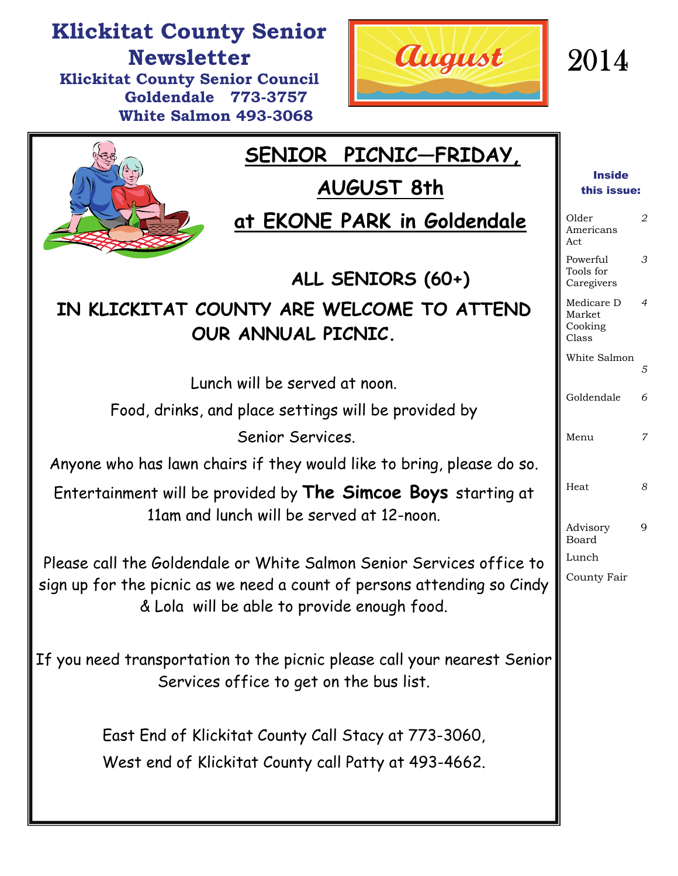

## **Klickitat County Senior Newsletter Klickitat County Senior Council**

August

2014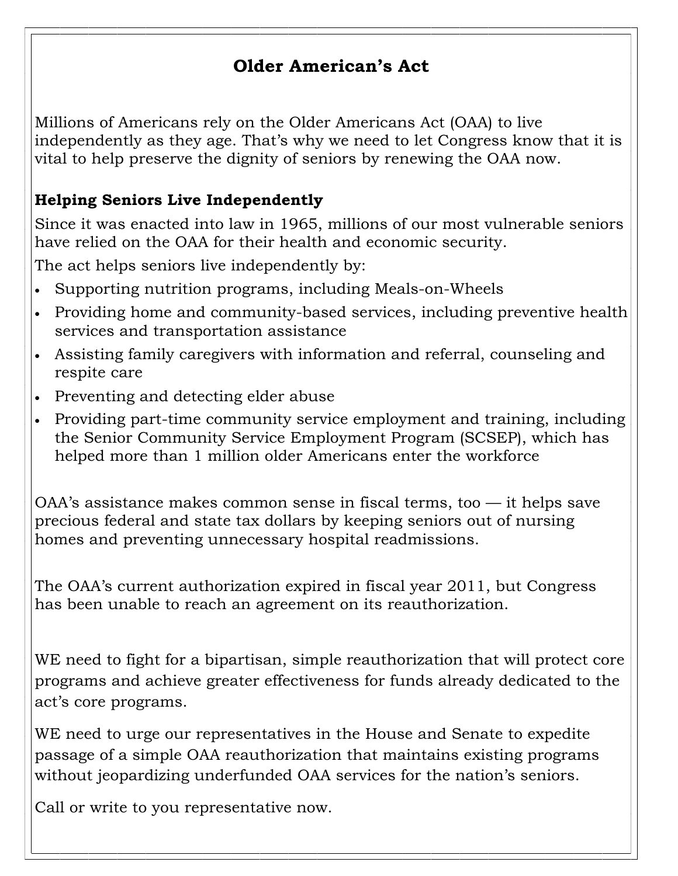#### **Older American's Act**

Millions of Americans rely on the [Older Americans Act](http://www.aarp.org/health/health-care-reform/info-2014/the-older-americans-act-AARP-ppi-health.html?intcmp=AE-POL-IL) (OAA) to live independently as they age. That's why we need to let Congress know that it is vital to help preserve the dignity of seniors by [renewing the OAA now](http://blog.aarp.org/2014/05/05/amy-goyer-older-americans-act-in-home-services/?intcmp=AE-POL-IL).

#### **Helping Seniors Live Independently**

Since it was enacted into law in 1965, millions of our most vulnerable seniors have relied on the OAA for their health and economic security.

The act helps seniors live independently by:

- Supporting nutrition programs, including Meals-on-Wheels
- Providing home and community-based services, including preventive health services and transportation assistance
- Assisting [family caregivers](http://www.aarp.org/home-family/caregiving/?intcmp=AE-POL-IL) with information and referral, counseling and respite care
- Preventing and detecting [elder abuse](http://www.aarp.org/politics-society/advocacy/info-02-2012/elder-abuse-awareness-inside-estreet.html?intcmp=AE-POL-IL)
- Providing part-time community service employment and training, including the Senior Community Service Employment Program (SCSEP), which has helped more than 1 million older Americans enter the workforce

OAA's assistance makes common sense in fiscal terms, too — it helps save precious federal and state tax dollars by keeping seniors out of nursing homes and preventing unnecessary hospital readmissions.

The OAA's current authorization expired in fiscal year 2011, but Congress has been unable to reach an agreement on its reauthorization.

WE need to fight for a bipartisan, simple reauthorization that will protect core programs and achieve greater effectiveness for funds already dedicated to the act's core programs.

WE need to urge our representatives in the House and Senate to expedite passage of a simple OAA reauthorization that maintains existing programs without jeopardizing underfunded OAA services for the nation's seniors.

Call or write to you representative now.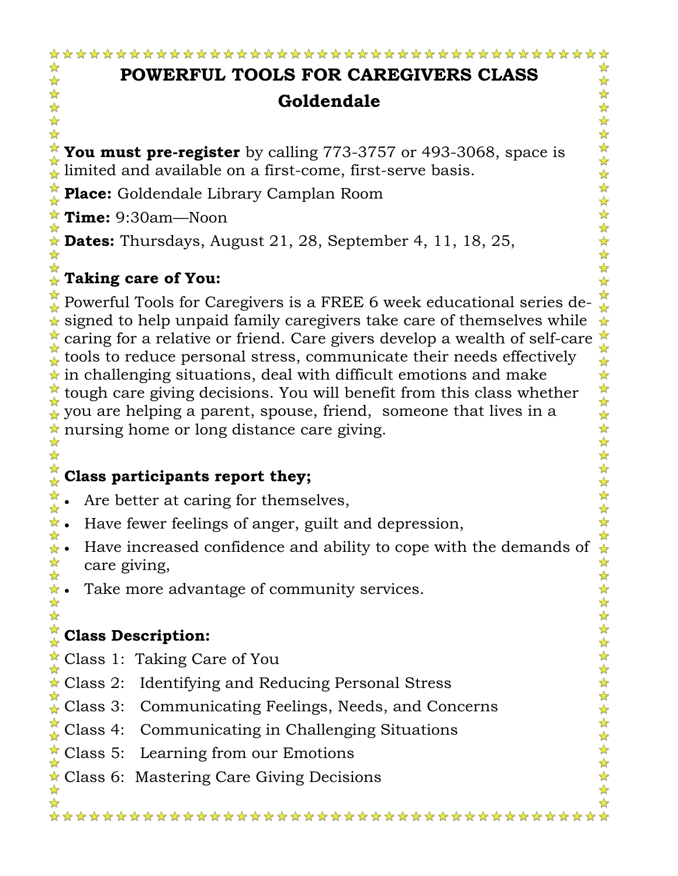#### **POWERFUL TOOLS FOR CAREGIVERS CLASS Goldendale**

计毕

You must pre-register by calling 773-3757 or 493-3068, space is imited and available on a first-come, first-serve basis.

**Place:** Goldendale Library Camplan Room

**Time:** 9:30am—Noon

好好好好好

**Dates:** Thursdays, August 21, 28, September 4, 11, 18, 25,

#### **Taking care of You:**  ☆

女女女女女女女女女女女女女女女女女  $\stackrel{\star}{\triangle}$  Powerful Tools for Caregivers is a FREE 6 week educational series de- $\star$  signed to help unpaid family caregivers take care of themselves while  $\frac{1}{2}$ caring for a relative or friend. Care givers develop a wealth of self-care  $\frac{1}{8}$  tools to reduce presonal stress, communicate their needs effectively and the tough care giving decisions. You will benefit from this cla tools to reduce personal stress, communicate their needs effectively  $\star$  in challenging situations, deal with difficult emotions and make tough care giving decisions. You will benefit from this class whether you are helping a parent, spouse, friend, someone that lives in a  $\star$  nursing home or long distance care giving. ☆

#### **Class participants report they;**   $\frac{\lambda}{\lambda}$

- 计毕 • Are better at caring for themselves,
- $\star$  Have fewer feelings of anger, guilt and depression,
- $\frac{1}{2}$  $\star$  • Have increased confidence and ability to cope with the demands of 计毕 care giving,
- $\star$  Take more advantage of community services.  $\frac{1}{2}$

#### **Class Description:**

- Class 1: Taking Care of You
- ★ Class 2: Identifying and Reducing Personal Stress
- Class 3: Communicating Feelings, Needs, and Concerns
- Class 4: Communicating in Challenging Situations
- Class 5: Learning from our Emotions
- Class 6: Mastering Care Giving Decisions

☆

 $\frac{\lambda}{\lambda}$ 

\*\*\*\*\*\*\*\*\*\*\*\*\*\*\*\*\*\*\*\*\*\*\*\*\*\*\*\*\*\*\*\*\*\*\*\*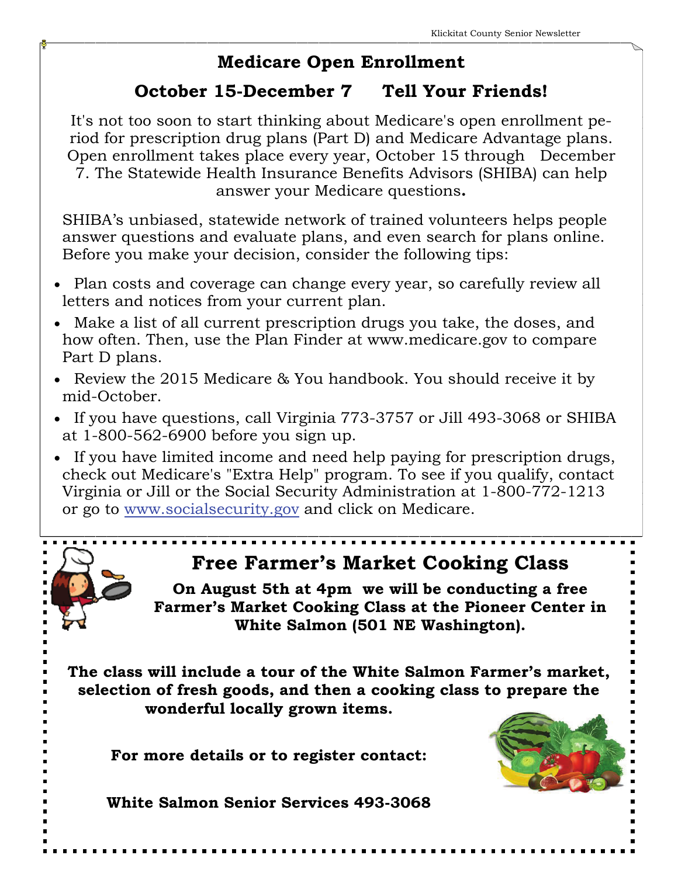#### **Medicare Open Enrollment**

#### **October 15-December 7 Tell Your Friends!**

It's not too soon to start thinking about Medicare's open enrollment period for prescription drug plans (Part D) and Medicare Advantage plans. Open enrollment takes place every year, October 15 through December 7. The Statewide Health Insurance Benefits Advisors (SHIBA) can help answer your Medicare questions**.** 

SHIBA's unbiased, statewide network of trained volunteers helps people answer questions and evaluate plans, and even search for plans online. Before you make your decision, consider the following tips:

- Plan costs and coverage can change every year, so carefully review all letters and notices from your current plan.
- Make a list of all current prescription drugs you take, the doses, and how often. Then, use the Plan Finder at www.medicare.gov to compare Part D plans.
- Review the 2015 Medicare & You handbook. You should receive it by mid-October.
- If you have questions, call Virginia 773-3757 or Jill 493-3068 or SHIBA at 1-800-562-6900 before you sign up.
- If you have limited income and need help paying for prescription drugs, check out Medicare's "Extra Help" program. To see if you qualify, contact Virginia or Jill or the Social Security Administration at 1-800-772-1213 or go to [www.socialsecurity.gov](http://www.socialsecurity.gov/) and click on Medicare.

## **Free Farmer's Market Cooking Class**

**On August 5th at 4pm we will be conducting a free Farmer's Market Cooking Class at the Pioneer Center in White Salmon (501 NE Washington).** 

**The class will include a tour of the White Salmon Farmer's market, selection of fresh goods, and then a cooking class to prepare the wonderful locally grown items.** 

**For more details or to register contact:** 



**White Salmon Senior Services 493-3068**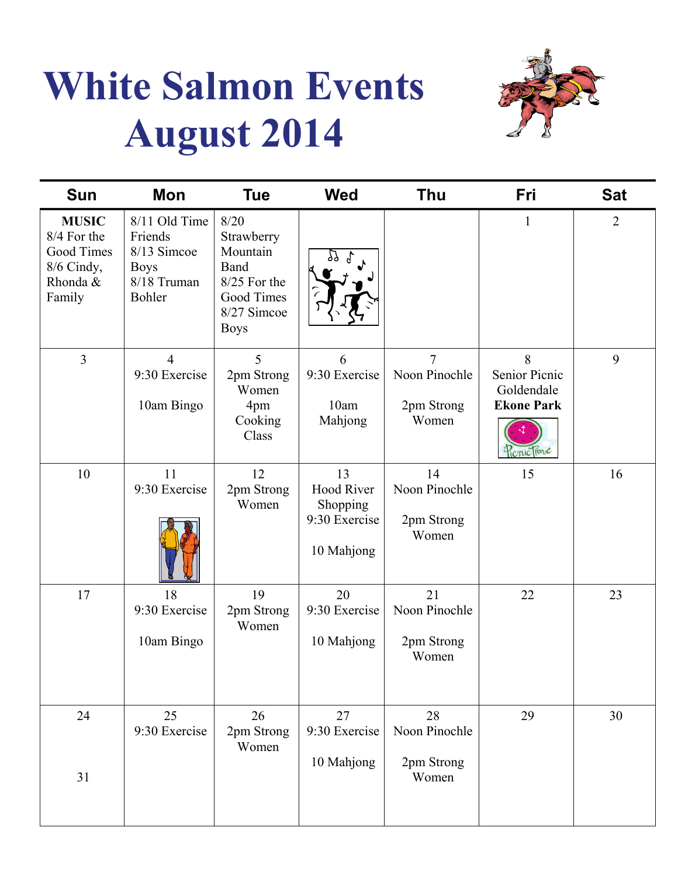# **White Salmon Events August 2014**



| <b>Sun</b>                                                                           | Mon                                                                             | <b>Tue</b>                                                                                         | <b>Wed</b>                                                         | Thu                                                    | Fri                                                                  | <b>Sat</b>     |
|--------------------------------------------------------------------------------------|---------------------------------------------------------------------------------|----------------------------------------------------------------------------------------------------|--------------------------------------------------------------------|--------------------------------------------------------|----------------------------------------------------------------------|----------------|
| <b>MUSIC</b><br>8/4 For the<br><b>Good Times</b><br>8/6 Cindy,<br>Rhonda &<br>Family | 8/11 Old Time<br>Friends<br>8/13 Simcoe<br><b>Boys</b><br>8/18 Truman<br>Bohler | 8/20<br>Strawberry<br>Mountain<br>Band<br>8/25 For the<br>Good Times<br>8/27 Simcoe<br><b>Boys</b> |                                                                    |                                                        | $\mathbf{1}$                                                         | $\overline{2}$ |
| $\overline{3}$                                                                       | $\overline{4}$<br>9:30 Exercise<br>10am Bingo                                   | 5<br>2pm Strong<br>Women<br>4pm<br>Cooking<br>Class                                                | 6<br>9:30 Exercise<br>10am<br>Mahjong                              | $\overline{7}$<br>Noon Pinochle<br>2pm Strong<br>Women | 8<br>Senior Picnic<br>Goldendale<br><b>Ekone Park</b><br>Picnic lime | 9              |
| 10                                                                                   | 11<br>9:30 Exercise                                                             | 12<br>2pm Strong<br>Women                                                                          | 13<br><b>Hood River</b><br>Shopping<br>9:30 Exercise<br>10 Mahjong | 14<br>Noon Pinochle<br>2pm Strong<br>Women             | 15                                                                   | 16             |
| 17                                                                                   | 18<br>9:30 Exercise<br>10am Bingo                                               | 19<br>2pm Strong<br>Women                                                                          | 20<br>9:30 Exercise<br>10 Mahjong                                  | 21<br>Noon Pinochle<br>2pm Strong<br>Women             | 22                                                                   | 23             |
| 24<br>31                                                                             | 25<br>9:30 Exercise                                                             | 26<br>2pm Strong<br>Women                                                                          | 27<br>9:30 Exercise<br>10 Mahjong                                  | 28<br>Noon Pinochle<br>2pm Strong<br>Women             | 29                                                                   | 30             |
|                                                                                      |                                                                                 |                                                                                                    |                                                                    |                                                        |                                                                      |                |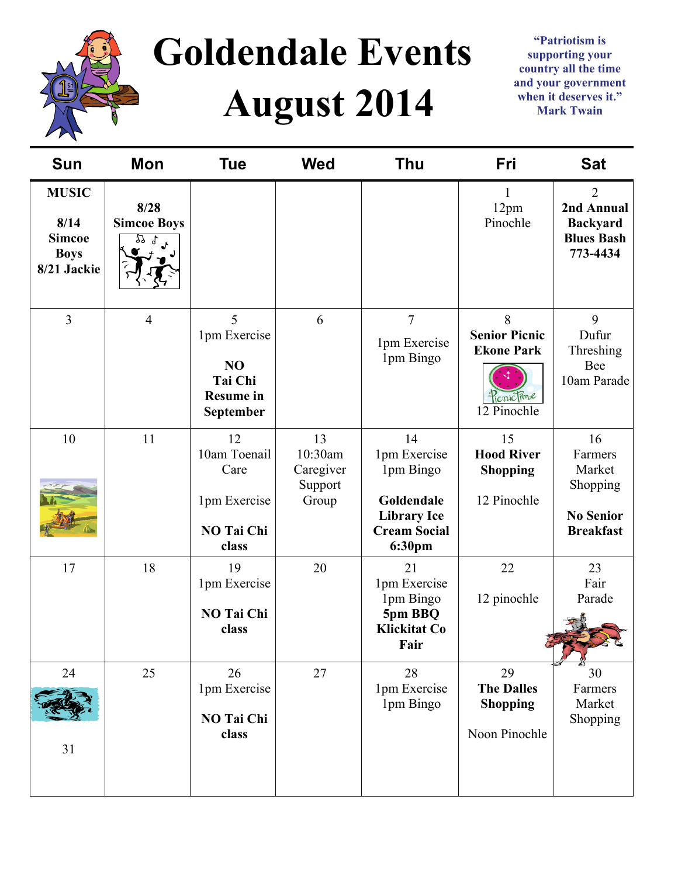

# **Goldendale Events August 2014**

**"Patriotism is supporting your country all the time and your government when it deserves it." Mark Twain** 

| <b>Sun</b>                                                          | Mon                              | <b>Tue</b>                                                                             | <b>Wed</b>                                     | <b>Thu</b>                                                                                           | <b>Fri</b>                                                                  | <b>Sat</b>                                                                       |
|---------------------------------------------------------------------|----------------------------------|----------------------------------------------------------------------------------------|------------------------------------------------|------------------------------------------------------------------------------------------------------|-----------------------------------------------------------------------------|----------------------------------------------------------------------------------|
| <b>MUSIC</b><br>8/14<br><b>Simcoe</b><br><b>Boys</b><br>8/21 Jackie | 8/28<br><b>Simcoe Boys</b><br>የየ |                                                                                        |                                                |                                                                                                      | 1<br>12pm<br>Pinochle                                                       | $\overline{2}$<br>2nd Annual<br><b>Backyard</b><br><b>Blues Bash</b><br>773-4434 |
| $\overline{3}$                                                      | $\overline{4}$                   | 5<br>1pm Exercise<br>N <sub>O</sub><br><b>Tai Chi</b><br><b>Resume in</b><br>September | 6                                              | $\overline{7}$<br>1pm Exercise<br>1pm Bingo                                                          | 8<br><b>Senior Picnic</b><br><b>Ekone Park</b><br>PicnicTime<br>12 Pinochle | 9<br>Dufur<br>Threshing<br>Bee<br>10am Parade                                    |
| 10                                                                  | 11                               | 12<br>10am Toenail<br>Care<br>1pm Exercise<br>NO Tai Chi<br>class                      | 13<br>10:30am<br>Caregiver<br>Support<br>Group | 14<br>1pm Exercise<br>1pm Bingo<br>Goldendale<br><b>Library Ice</b><br><b>Cream Social</b><br>6:30pm | 15<br><b>Hood River</b><br><b>Shopping</b><br>12 Pinochle                   | 16<br>Farmers<br>Market<br>Shopping<br><b>No Senior</b><br><b>Breakfast</b>      |
| 17                                                                  | 18                               | 19<br>1pm Exercise<br>NO Tai Chi<br>class                                              | 20                                             | 21<br>1pm Exercise<br>1pm Bingo<br>5pm BBQ<br><b>Klickitat Co</b><br>Fair                            | 22<br>12 pinochle                                                           | 23<br>Fair<br>Parade                                                             |
| 24<br>31                                                            | 25                               | 26<br>1pm Exercise<br>NO Tai Chi<br>class                                              | 27                                             | 28<br>1pm Exercise<br>1pm Bingo                                                                      | 29<br><b>The Dalles</b><br><b>Shopping</b><br>Noon Pinochle                 | 30<br>Farmers<br>Market<br>Shopping                                              |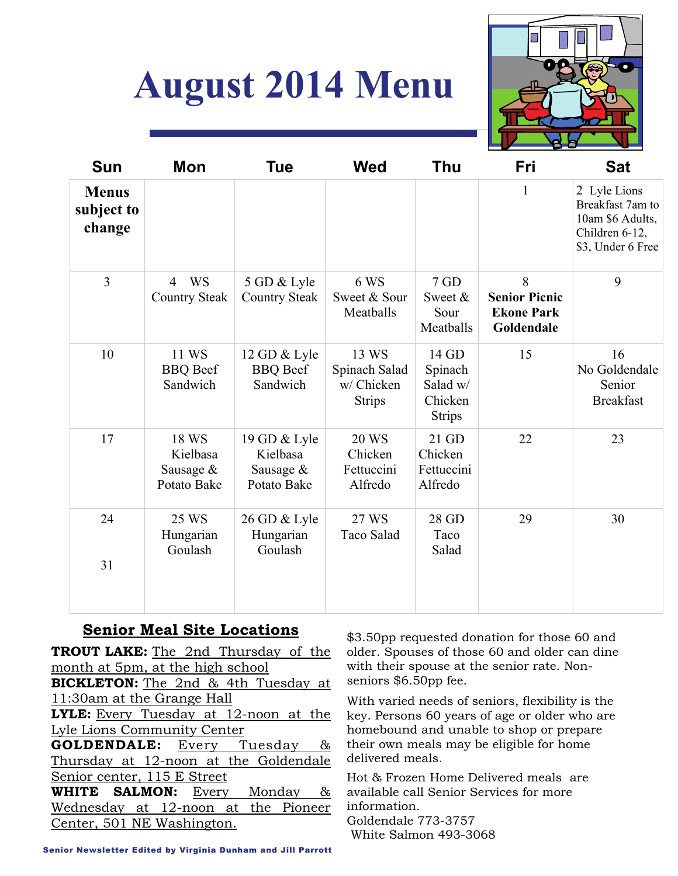## **August 2014 Menu**



| <b>Sun</b>                           | Mon                                                 | <b>Tue</b>                                           | <b>Wed</b>                                            | <b>Thu</b>                                               | Fri                                                          | <b>Sat</b>                                                                                  |
|--------------------------------------|-----------------------------------------------------|------------------------------------------------------|-------------------------------------------------------|----------------------------------------------------------|--------------------------------------------------------------|---------------------------------------------------------------------------------------------|
| <b>Menus</b><br>subject to<br>change |                                                     |                                                      |                                                       |                                                          | 1                                                            | 2 Lyle Lions<br>Breakfast 7am to<br>10am \$6 Adults,<br>Children 6-12,<br>\$3, Under 6 Free |
| $\overline{3}$                       | <b>WS</b><br>$\overline{4}$<br><b>Country Steak</b> | 5 GD & Lyle<br><b>Country Steak</b>                  | 6 WS<br>Sweet & Sour<br>Meatballs                     | 7 GD<br>Sweet &<br>Sour<br>Meatballs                     | 8<br><b>Senior Picnic</b><br><b>Ekone Park</b><br>Goldendale | 9                                                                                           |
| 10                                   | 11 WS<br><b>BBQ</b> Beef<br>Sandwich                | 12 GD & Lyle<br><b>BBQ</b> Beef<br>Sandwich          | 13 WS<br>Spinach Salad<br>w/ Chicken<br><b>Strips</b> | 14 GD<br>Spinach<br>Salad w/<br>Chicken<br><b>Strips</b> | 15                                                           | 16<br>No Goldendale<br>Senior<br><b>Breakfast</b>                                           |
| 17                                   | 18 WS<br>Kielbasa<br>Sausage &<br>Potato Bake       | 19 GD & Lyle<br>Kielbasa<br>Sausage &<br>Potato Bake | <b>20 WS</b><br>Chicken<br>Fettuccini<br>Alfredo      | 21 GD<br>Chicken<br>Fettuccini<br>Alfredo                | 22                                                           | 23                                                                                          |
| 24<br>31                             | 25 WS<br>Hungarian<br>Goulash                       | 26 GD & Lyle<br>Hungarian<br>Goulash                 | 27 WS<br>Taco Salad                                   | 28 GD<br>Taco<br>Salad                                   | 29                                                           | 30                                                                                          |

#### **Senior Meal Site Locations**

**TROUT LAKE:** The 2nd Thursday of the month at 5pm, at the high school **BICKLETON:** The 2nd & 4th Tuesday at 11:30am at the Grange Hall **LYLE:** Every Tuesday at 12-noon at the Lyle Lions Community Center **GOLDENDALE:** Every Tuesday & Thursday at 12-noon at the Goldendale Senior center, 115 E Street **WHITE SALMON:** Every Monday & Wednesday at 12-noon at the Pioneer Center, 501 NE Washington.

\$3.50pp requested donation for those 60 and older. Spouses of those 60 and older can dine with their spouse at the senior rate. Nonseniors \$6.50pp fee.

With varied needs of seniors, flexibility is the key. Persons 60 years of age or older who are homebound and unable to shop or prepare their own meals may be eligible for home delivered meals.

Hot & Frozen Home Delivered meals are available call Senior Services for more information. Goldendale 773-3757 White Salmon 493-3068

Senior Newsletter Edited by Virginia Dunham and Jill Parrott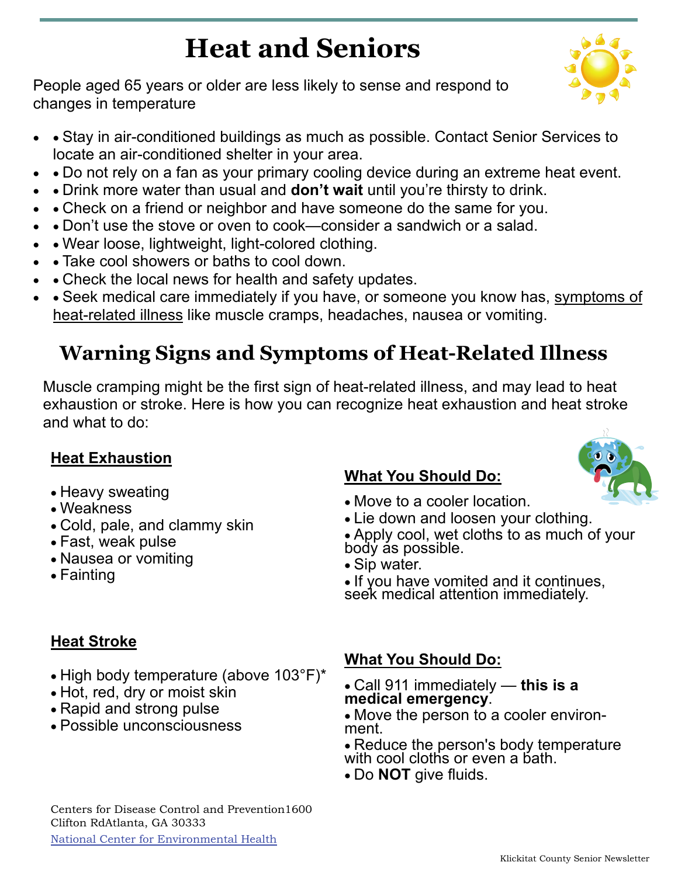## **Heat and Seniors**

People aged 65 years or older are less likely to sense and respond to changes in temperature

- • Stay in air-conditioned buildings as much as possible. Contact Senior Services to locate an air-conditioned shelter in your area.
- • Do not rely on a fan as your primary cooling device during an extreme heat event.
- • Drink more water than usual and **don't wait** until you're thirsty to drink.
- • Check on a friend or neighbor and have someone do the same for you.
- • Don't use the stove or oven to cook—consider a sandwich or a salad.
- Wear loose, lightweight, light-colored clothing.
- • Take cool showers or baths to cool down.
- Check the local news for health and safety updates.
- • Seek medical care immediately if you have, or someone you know has, symptoms of heat-related illness like muscle cramps, headaches, nausea or vomiting.

## **Warning Signs and Symptoms of Heat-Related Illness**

Muscle cramping might be the first sign of heat-related illness, and may lead to heat exhaustion or stroke. Here is how you can recognize heat exhaustion and heat stroke and what to do:

#### **Heat Exhaustion**

- Heavy sweating
- Weakness
- Cold, pale, and clammy skin
- Fast, weak pulse
- Nausea or vomiting
- Fainting

#### **What You Should Do:**

- Move to a cooler location.
- Lie down and loosen your clothing.
- Apply cool, wet cloths to as much of your body as possible.
- Sip water.
- If you have vomited and it continues, seek medical attention immediately.

#### **Heat Stroke**

- High body temperature (above 103°F)\*
- Hot, red, dry or moist skin
- Rapid and strong pulse
- Possible unconsciousness

#### **What You Should Do:**

- Call 911 immediately **this is a medical emergency**.
- Move the person to a cooler environment.
- Reduce the person's body temperature with cool cloths or even a bath.
- Do **NOT** give fluids.

Centers for Disease Control and Prevention1600 Clifton RdAtlanta, GA 30333

[National Center for Environmental Health](http://www.cdc.gov/nceh/)



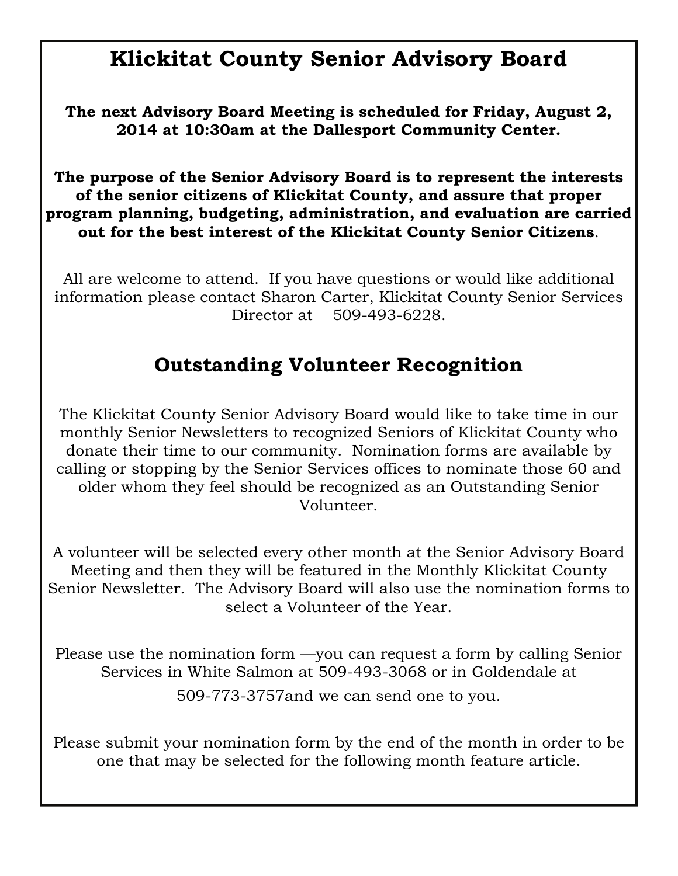### **Klickitat County Senior Advisory Board**

**The next Advisory Board Meeting is scheduled for Friday, August 2, 2014 at 10:30am at the Dallesport Community Center.** 

**The purpose of the Senior Advisory Board is to represent the interests of the senior citizens of Klickitat County, and assure that proper program planning, budgeting, administration, and evaluation are carried out for the best interest of the Klickitat County Senior Citizens**.

All are welcome to attend. If you have questions or would like additional information please contact Sharon Carter, Klickitat County Senior Services Director at 509-493-6228.

#### **Outstanding Volunteer Recognition**

The Klickitat County Senior Advisory Board would like to take time in our monthly Senior Newsletters to recognized Seniors of Klickitat County who donate their time to our community. Nomination forms are available by calling or stopping by the Senior Services offices to nominate those 60 and older whom they feel should be recognized as an Outstanding Senior Volunteer.

A volunteer will be selected every other month at the Senior Advisory Board Meeting and then they will be featured in the Monthly Klickitat County Senior Newsletter. The Advisory Board will also use the nomination forms to select a Volunteer of the Year.

Please use the nomination form —you can request a form by calling Senior Services in White Salmon at 509-493-3068 or in Goldendale at 509-773-3757and we can send one to you.

Please submit your nomination form by the end of the month in order to be one that may be selected for the following month feature article.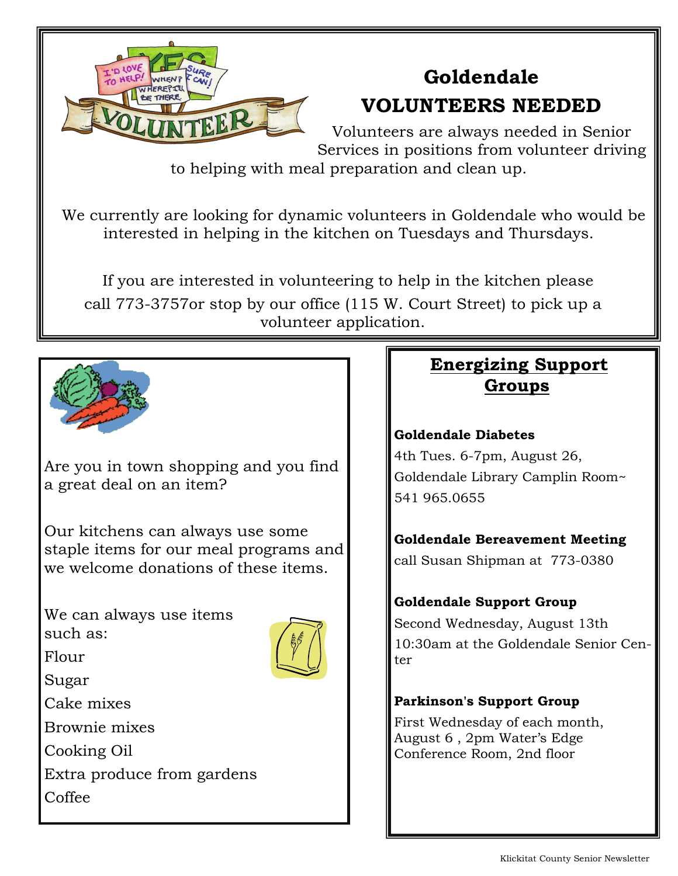

## **Goldendale**

### **VOLUNTEERS NEEDED**

Volunteers are always needed in Senior Services in positions from volunteer driving

to helping with meal preparation and clean up.

 We currently are looking for dynamic volunteers in Goldendale who would be interested in helping in the kitchen on Tuesdays and Thursdays.

 If you are interested in volunteering to help in the kitchen please call 773-3757or stop by our office (115 W. Court Street) to pick up a volunteer application.



Are you in town shopping and you find a great deal on an item?

Our kitchens can always use some staple items for our meal programs and we welcome donations of these items.

We can always use items such as:



Flour

Sugar

Cake mixes

Brownie mixes

Cooking Oil

Extra produce from gardens Coffee

#### **Energizing Support Groups**

#### **Goldendale Diabetes**

4th Tues. 6-7pm, August 26, Goldendale Library Camplin Room~ 541 965.0655

**Goldendale Bereavement Meeting** call Susan Shipman at 773-0380

#### **Goldendale Support Group**

Second Wednesday, August 13th 10:30am at the Goldendale Senior Center

#### **Parkinson's Support Group**

First Wednesday of each month, August 6 , 2pm Water's Edge Conference Room, 2nd floor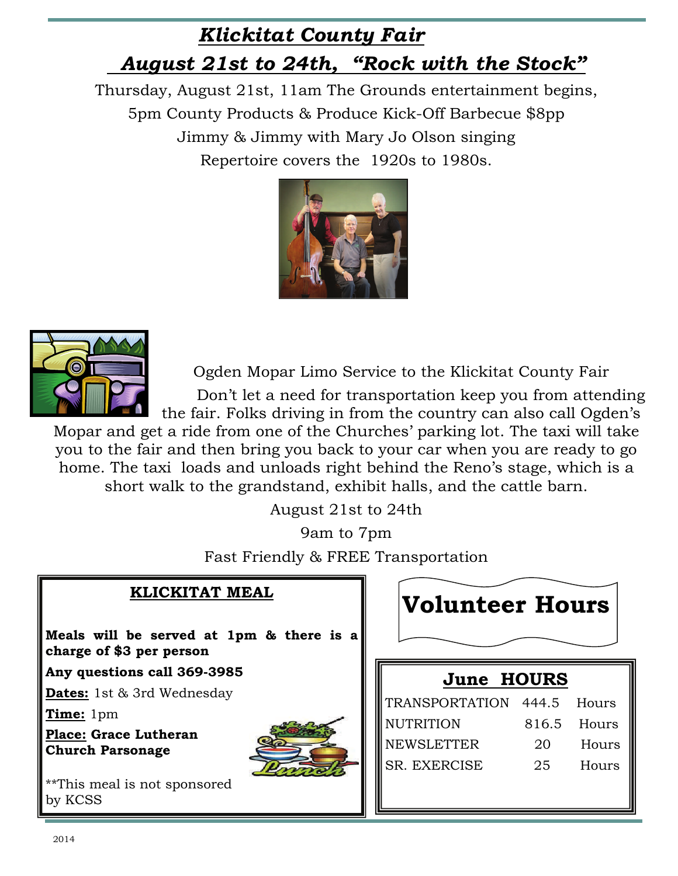### *Klickitat County Fair August 21st to 24th, "Rock with the Stock"*

Thursday, August 21st, 11am The Grounds entertainment begins, 5pm County Products & Produce Kick-Off Barbecue \$8pp Jimmy & Jimmy with Mary Jo Olson singing Repertoire covers the 1920s to 1980s.





Ogden Mopar Limo Service to the Klickitat County Fair

 Don't let a need for transportation keep you from attending the fair. Folks driving in from the country can also call Ogden's

Mopar and get a ride from one of the Churches' parking lot. The taxi will take you to the fair and then bring you back to your car when you are ready to go home. The taxi loads and unloads right behind the Reno's stage, which is a short walk to the grandstand, exhibit halls, and the cattle barn.

August 21st to 24th

9am to 7pm Fast Friendly & FREE Transportation

| <b>KLICKITAT MEAL</b>                                                | <b>Volunteer Hours</b>           |
|----------------------------------------------------------------------|----------------------------------|
| Meals will be served at 1pm & there is a<br>charge of \$3 per person |                                  |
| Any questions call 369-3985                                          | <b>June HOURS</b>                |
| <b>Dates:</b> 1st & 3rd Wednesday                                    | TRANSPORTATION 444.5<br>Hours    |
| Time: 1pm                                                            | <b>NUTRITION</b>                 |
| Place: Grace Lutheran                                                | 816.5<br>Hours                   |
| <b>Church Parsonage</b>                                              | <b>NEWSLETTER</b><br>20<br>Hours |
|                                                                      | SR. EXERCISE<br>25<br>Hours      |
| **This meal is not sponsored<br>by KCSS                              |                                  |